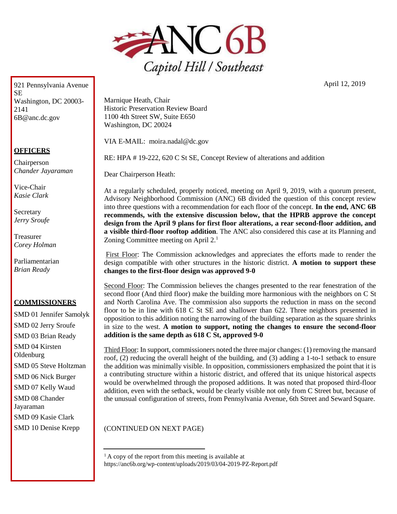

921 Pennsylvania Avenue **SE** Washington, DC 20003- 2141 [6B@anc.dc.gov](mailto:6B@anc.dc.gov)

## **OFFICERS**

Chairperson *Chander Jayaraman*

Vice-Chair *Kasie Clark*

**Secretary** *Jerry Sroufe*

Treasurer *Corey Holman*

Parliamentarian *Brian Ready*

## **COMMISSIONERS**

SMD 01 Jennifer Samolyk SMD 02 Jerry Sroufe SMD 03 Brian Ready SMD 04 Kirsten **Oldenburg** SMD 05 Steve Holtzman SMD 06 Nick Burger SMD 07 Kelly Waud SMD 08 Chander Jayaraman SMD 09 Kasie Clark SMD 10 Denise Krepp

Marnique Heath, Chair Historic Preservation Review Board 1100 4th Street SW, Suite E650 Washington, DC 20024

VIA E-MAIL: [moira.nadal@dc.gov](mailto:moira.nadal@dc.gov)

RE: HPA # 19-222, 620 C St SE, Concept Review of alterations and addition

Dear Chairperson Heath:

At a regularly scheduled, properly noticed, meeting on April 9, 2019, with a quorum present, Advisory Neighborhood Commission (ANC) 6B divided the question of this concept review into three questions with a recommendation for each floor of the concept. **In the end, ANC 6B recommends, with the extensive discussion below, that the HPRB approve the concept design from the April 9 plans for first floor alterations, a rear second-floor addition, and a visible third-floor rooftop addition**. The ANC also considered this case at its Planning and Zoning Committee meeting on April 2.<sup>1</sup>

First Floor: The Commission acknowledges and appreciates the efforts made to render the design compatible with other structures in the historic district. **A motion to support these changes to the first-floor design was approved 9-0**

Second Floor: The Commission believes the changes presented to the rear fenestration of the second floor (And third floor) make the building more harmonious with the neighbors on C St and North Carolina Ave. The commission also supports the reduction in mass on the second floor to be in line with 618 C St SE and shallower than 622. Three neighbors presented in opposition to this addition noting the narrowing of the building separation as the square shrinks in size to the west. **A motion to support, noting the changes to ensure the second-floor addition is the same depth as 618 C St, approved 9-0**

Third Floor: In support, commissioners noted the three major changes: (1) removing the mansard roof, (2) reducing the overall height of the building, and (3) adding a 1-to-1 setback to ensure the addition was minimally visible. In opposition, commissioners emphasized the point that it is a contributing structure within a historic district, and offered that its unique historical aspects would be overwhelmed through the proposed additions. It was noted that proposed third-floor addition, even with the setback, would be clearly visible not only from C Street but, because of the unusual configuration of streets, from Pennsylvania Avenue, 6th Street and Seward Square.

(CONTINUED ON NEXT PAGE)

 $<sup>1</sup>$  A copy of the report from this meeting is available at</sup> https://anc6b.org/wp-content/uploads/2019/03/04-2019-PZ-Report.pdf April 12, 2019